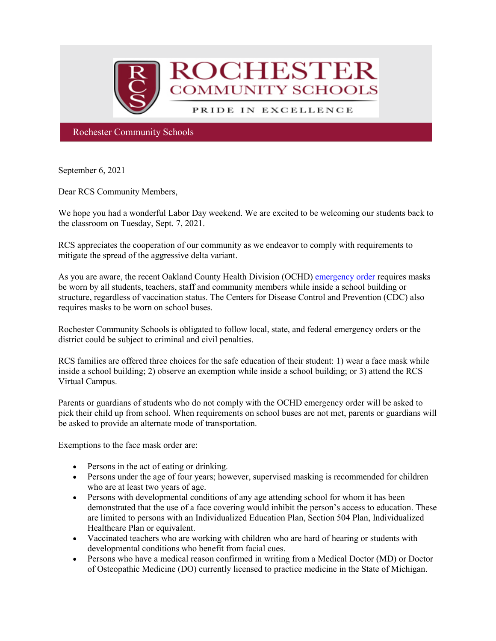

Rochester Community Schools

September 6, 2021

Dear RCS Community Members,

We hope you had a wonderful Labor Day weekend. We are excited to be welcoming our students back to the classroom on Tuesday, Sept. 7, 2021.

RCS appreciates the cooperation of our community as we endeavor to comply with requirements to mitigate the spread of the aggressive delta variant.

As you are aware, the recent Oakland County Health Division (OCHD) [emergency order](http://track.spe.schoolmessenger.com/f/a/rW_vehMqBv7G2LYtZN2jdw%7E%7E/AAAAAQA%7E/RgRjF-FmP0RiaHR0cHM6Ly93d3cub2FrZ292LmNvbS9jb3ZpZC9oZWFsdGhvcmRlcnMvSGVhbHRoJTIwT3JkZXIlMjA4LjI0LjIxJTIwZmFjZSUyMGNvdmVyaW5nJTIwMjAyMS0wMS5wZGZXB3NjaG9vbG1CCmEw5q02YenWXVtSG3NhaGVhcm5Acm9jaGVzdGVyLmsxMi5taS51c1gEAAAAAQ%7E%7E) requires masks be worn by all students, teachers, staff and community members while inside a school building or structure, regardless of vaccination status. The Centers for Disease Control and Prevention (CDC) also requires masks to be worn on school buses.

Rochester Community Schools is obligated to follow local, state, and federal emergency orders or the district could be subject to criminal and civil penalties.

RCS families are offered three choices for the safe education of their student: 1) wear a face mask while inside a school building; 2) observe an exemption while inside a school building; or 3) attend the RCS Virtual Campus.

Parents or guardians of students who do not comply with the OCHD emergency order will be asked to pick their child up from school. When requirements on school buses are not met, parents or guardians will be asked to provide an alternate mode of transportation.

Exemptions to the face mask order are:

- Persons in the act of eating or drinking.
- Persons under the age of four years; however, supervised masking is recommended for children who are at least two years of age.
- Persons with developmental conditions of any age attending school for whom it has been demonstrated that the use of a face covering would inhibit the person's access to education. These are limited to persons with an Individualized Education Plan, Section 504 Plan, Individualized Healthcare Plan or equivalent.
- Vaccinated teachers who are working with children who are hard of hearing or students with developmental conditions who benefit from facial cues.
- Persons who have a medical reason confirmed in writing from a Medical Doctor (MD) or Doctor of Osteopathic Medicine (DO) currently licensed to practice medicine in the State of Michigan.